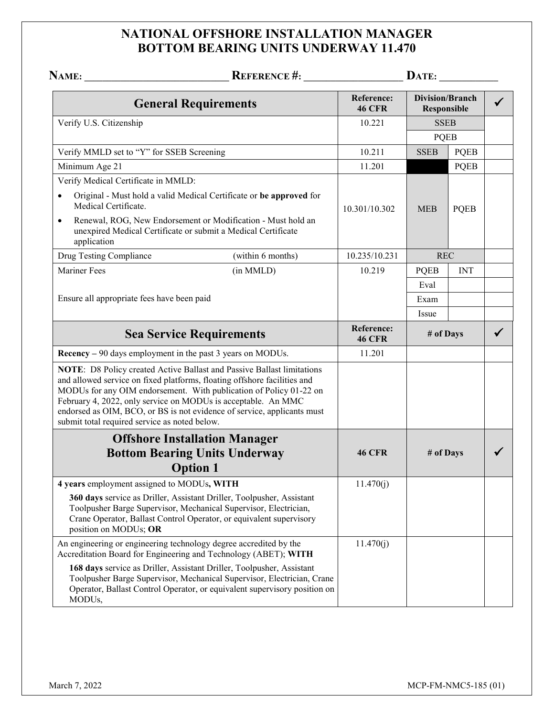## **NATIONAL OFFSHORE INSTALLATION MANAGER BOTTOM BEARING UNITS UNDERWAY 11.470**

| NAME:                                                                                                                                                                                      | REFERENCE #:                                                                                                                                                                                                                 |                             |                                              | $\mathbf{DATE:}\_\_\_\_\_\_\_\_\$ |  |
|--------------------------------------------------------------------------------------------------------------------------------------------------------------------------------------------|------------------------------------------------------------------------------------------------------------------------------------------------------------------------------------------------------------------------------|-----------------------------|----------------------------------------------|-----------------------------------|--|
|                                                                                                                                                                                            | <b>General Requirements</b>                                                                                                                                                                                                  | Reference:<br><b>46 CFR</b> | <b>Division/Branch</b><br><b>Responsible</b> |                                   |  |
| Verify U.S. Citizenship                                                                                                                                                                    |                                                                                                                                                                                                                              | 10.221                      | <b>SSEB</b><br><b>PQEB</b>                   |                                   |  |
|                                                                                                                                                                                            |                                                                                                                                                                                                                              |                             |                                              |                                   |  |
| Verify MMLD set to "Y" for SSEB Screening                                                                                                                                                  |                                                                                                                                                                                                                              | 10.211                      | <b>SSEB</b>                                  | <b>PQEB</b>                       |  |
| Minimum Age 21                                                                                                                                                                             |                                                                                                                                                                                                                              | 11.201                      |                                              | <b>PQEB</b>                       |  |
| Verify Medical Certificate in MMLD:                                                                                                                                                        |                                                                                                                                                                                                                              |                             |                                              |                                   |  |
| Original - Must hold a valid Medical Certificate or be approved for<br>Medical Certificate.                                                                                                |                                                                                                                                                                                                                              | 10.301/10.302               | <b>MEB</b>                                   | <b>PQEB</b>                       |  |
| $\bullet$<br>unexpired Medical Certificate or submit a Medical Certificate<br>application                                                                                                  | Renewal, ROG, New Endorsement or Modification - Must hold an                                                                                                                                                                 |                             |                                              |                                   |  |
| Drug Testing Compliance                                                                                                                                                                    | (within 6 months)                                                                                                                                                                                                            | 10.235/10.231               | <b>REC</b>                                   |                                   |  |
| <b>Mariner Fees</b>                                                                                                                                                                        | (in MMLD)                                                                                                                                                                                                                    | 10.219                      | <b>PQEB</b>                                  | <b>INT</b>                        |  |
|                                                                                                                                                                                            |                                                                                                                                                                                                                              |                             | Eval                                         |                                   |  |
| Ensure all appropriate fees have been paid                                                                                                                                                 |                                                                                                                                                                                                                              |                             | Exam                                         |                                   |  |
|                                                                                                                                                                                            |                                                                                                                                                                                                                              |                             | Issue                                        |                                   |  |
| <b>Sea Service Requirements</b>                                                                                                                                                            |                                                                                                                                                                                                                              | Reference:<br><b>46 CFR</b> | # of Days                                    |                                   |  |
| Recency – 90 days employment in the past 3 years on MODUs.                                                                                                                                 |                                                                                                                                                                                                                              | 11.201                      |                                              |                                   |  |
| and allowed service on fixed platforms, floating offshore facilities and<br>February 4, 2022, only service on MODUs is acceptable. An MMC<br>submit total required service as noted below. | NOTE: D8 Policy created Active Ballast and Passive Ballast limitations<br>MODUs for any OIM endorsement. With publication of Policy 01-22 on<br>endorsed as OIM, BCO, or BS is not evidence of service, applicants must      |                             |                                              |                                   |  |
|                                                                                                                                                                                            | <b>Offshore Installation Manager</b>                                                                                                                                                                                         |                             |                                              |                                   |  |
|                                                                                                                                                                                            | <b>Bottom Bearing Units Underway</b><br><b>Option 1</b>                                                                                                                                                                      | <b>46 CFR</b>               | # of Days                                    |                                   |  |
| 4 years employment assigned to MODUs, WITH                                                                                                                                                 |                                                                                                                                                                                                                              | 11.470(j)                   |                                              |                                   |  |
| position on MODUs; OR                                                                                                                                                                      | 360 days service as Driller, Assistant Driller, Toolpusher, Assistant<br>Toolpusher Barge Supervisor, Mechanical Supervisor, Electrician,<br>Crane Operator, Ballast Control Operator, or equivalent supervisory             |                             |                                              |                                   |  |
| An engineering or engineering technology degree accredited by the<br>Accreditation Board for Engineering and Technology (ABET); WITH                                                       |                                                                                                                                                                                                                              | 11.470(j)                   |                                              |                                   |  |
| MODUs,                                                                                                                                                                                     | 168 days service as Driller, Assistant Driller, Toolpusher, Assistant<br>Toolpusher Barge Supervisor, Mechanical Supervisor, Electrician, Crane<br>Operator, Ballast Control Operator, or equivalent supervisory position on |                             |                                              |                                   |  |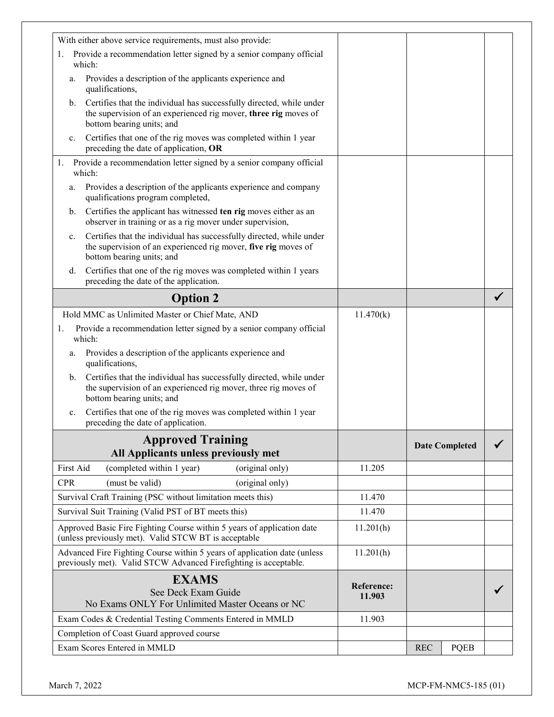| With either above service requirements, must also provide:                                                                                                                 |                      |                           |  |
|----------------------------------------------------------------------------------------------------------------------------------------------------------------------------|----------------------|---------------------------|--|
| 1. Provide a recommendation letter signed by a senior company official                                                                                                     |                      |                           |  |
| which:                                                                                                                                                                     |                      |                           |  |
| Provides a description of the applicants experience and<br>a.<br>qualifications,                                                                                           |                      |                           |  |
| Certifies that the individual has successfully directed, while under<br>b.<br>the supervision of an experienced rig mover, three rig moves of<br>bottom bearing units; and |                      |                           |  |
| Certifies that one of the rig moves was completed within 1 year<br>c.<br>preceding the date of application, OR                                                             |                      |                           |  |
| Provide a recommendation letter signed by a senior company official<br>1.<br>which:                                                                                        |                      |                           |  |
| Provides a description of the applicants experience and company<br>a.<br>qualifications program completed,                                                                 |                      |                           |  |
| Certifies the applicant has witnessed ten rig moves either as an<br>b.<br>observer in training or as a rig mover under supervision,                                        |                      |                           |  |
| Certifies that the individual has successfully directed, while under<br>c.<br>the supervision of an experienced rig mover, five rig moves of<br>bottom bearing units; and  |                      |                           |  |
| Certifies that one of the rig moves was completed within 1 years<br>d.<br>preceding the date of the application.                                                           |                      |                           |  |
| <b>Option 2</b>                                                                                                                                                            |                      |                           |  |
| Hold MMC as Unlimited Master or Chief Mate, AND                                                                                                                            | 11.470(k)            |                           |  |
| Provide a recommendation letter signed by a senior company official<br>1.<br>which:                                                                                        |                      |                           |  |
| Provides a description of the applicants experience and<br>a.<br>qualifications,                                                                                           |                      |                           |  |
| Certifies that the individual has successfully directed, while under<br>b.<br>the supervision of an experienced rig mover, three rig moves of<br>bottom bearing units; and |                      |                           |  |
| Certifies that one of the rig moves was completed within 1 year<br>c.<br>preceding the date of application.                                                                |                      |                           |  |
| <b>Approved Training</b><br>All Applicants unless previously met                                                                                                           |                      | <b>Date Completed</b>     |  |
| First Aid<br>(completed within 1 year)<br>(original only)                                                                                                                  | 11.205               |                           |  |
| <b>CPR</b><br>(must be valid)<br>(original only)                                                                                                                           |                      |                           |  |
| Survival Craft Training (PSC without limitation meets this)                                                                                                                | 11.470               |                           |  |
| Survival Suit Training (Valid PST of BT meets this)                                                                                                                        | 11.470               |                           |  |
| Approved Basic Fire Fighting Course within 5 years of application date<br>(unless previously met). Valid STCW BT is acceptable                                             | 11.201(h)            |                           |  |
| Advanced Fire Fighting Course within 5 years of application date (unless<br>previously met). Valid STCW Advanced Firefighting is acceptable.                               | 11.201(h)            |                           |  |
| <b>EXAMS</b><br>See Deck Exam Guide<br>No Exams ONLY For Unlimited Master Oceans or NC                                                                                     | Reference:<br>11.903 |                           |  |
| Exam Codes & Credential Testing Comments Entered in MMLD                                                                                                                   | 11.903               |                           |  |
| Completion of Coast Guard approved course                                                                                                                                  |                      |                           |  |
| Exam Scores Entered in MMLD                                                                                                                                                |                      | <b>PQEB</b><br><b>REC</b> |  |